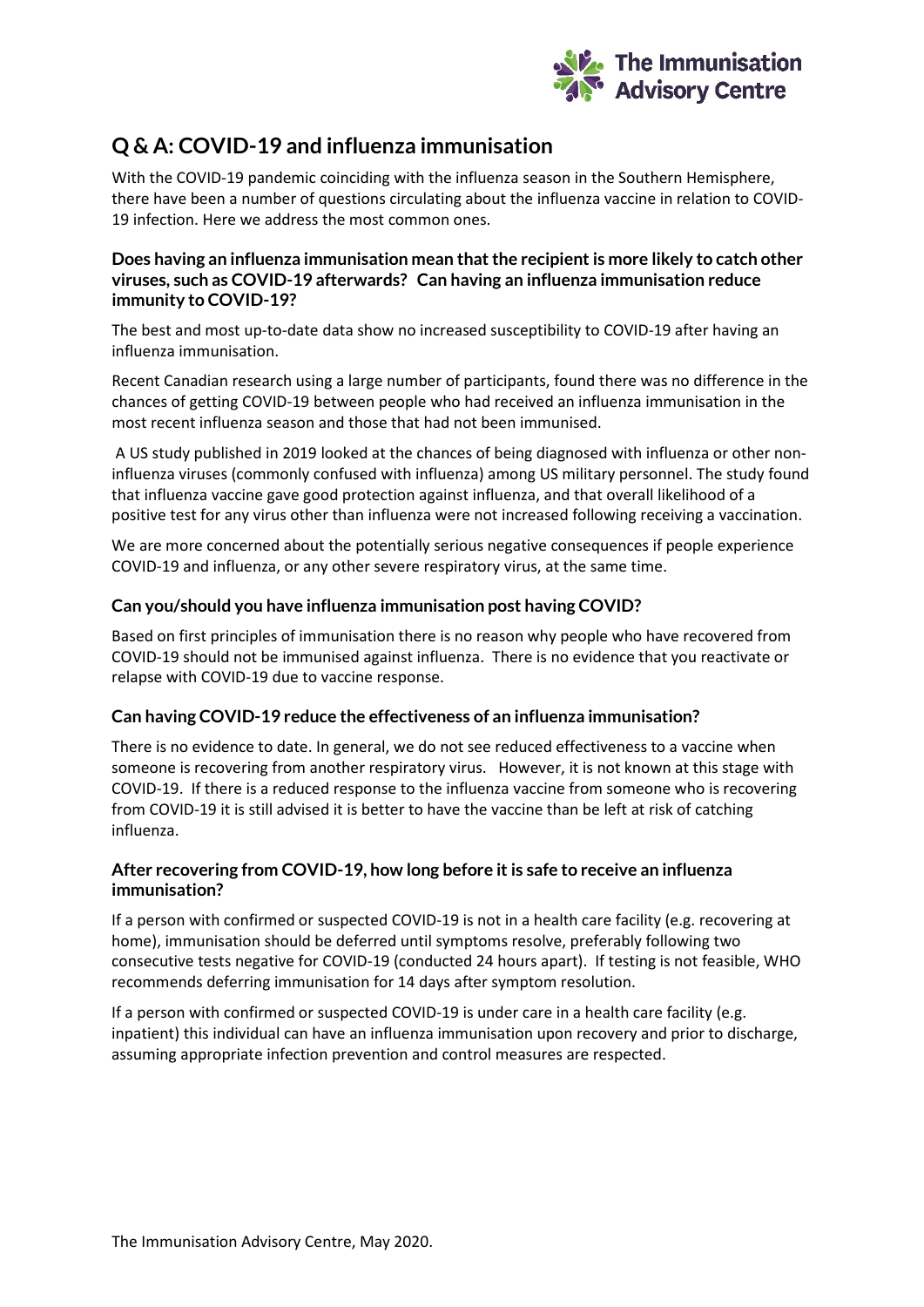

# **Q & A: COVID-19 and influenza immunisation**

With the COVID-19 pandemic coinciding with the influenza season in the Southern Hemisphere, there have been a number of questions circulating about the influenza vaccine in relation to COVID-19 infection. Here we address the most common ones.

#### **Does having an influenza immunisation mean that the recipient is more likely to catch other viruses, such as COVID-19 afterwards? Can having an influenza immunisation reduce immunity to COVID-19?**

The best and most up-to-date data show no increased susceptibility to COVID-19 after having an influenza immunisation.

Recent Canadian research using a large number of participants, found there was no difference in the chances of getting COVID-19 between people who had received an influenza immunisation in the most recent influenza season and those that had not been immunised.

A US study published in 2019 looked at the chances of being diagnosed with influenza or other noninfluenza viruses (commonly confused with influenza) among US military personnel. The study found that influenza vaccine gave good protection against influenza, and that overall likelihood of a positive test for any virus other than influenza were not increased following receiving a vaccination.

We are more concerned about the potentially serious negative consequences if people experience COVID-19 and influenza, or any other severe respiratory virus, at the same time.

## **Can you/should you have influenza immunisation post having COVID?**

Based on first principles of immunisation there is no reason why people who have recovered from COVID-19 should not be immunised against influenza. There is no evidence that you reactivate or relapse with COVID-19 due to vaccine response.

#### **Can having COVID-19 reduce the effectiveness of an influenza immunisation?**

There is no evidence to date. In general, we do not see reduced effectiveness to a vaccine when someone is recovering from another respiratory virus. However, it is not known at this stage with COVID-19. If there is a reduced response to the influenza vaccine from someone who is recovering from COVID-19 it is still advised it is better to have the vaccine than be left at risk of catching influenza.

## **After recovering from COVID-19, how long before it is safe to receive an influenza immunisation?**

If a person with confirmed or suspected COVID-19 is not in a health care facility (e.g. recovering at home), immunisation should be deferred until symptoms resolve, preferably following two consecutive tests negative for COVID-19 (conducted 24 hours apart). If testing is not feasible, WHO recommends deferring immunisation for 14 days after symptom resolution.

If a person with confirmed or suspected COVID-19 is under care in a health care facility (e.g. inpatient) this individual can have an influenza immunisation upon recovery and prior to discharge, assuming appropriate infection prevention and control measures are respected.